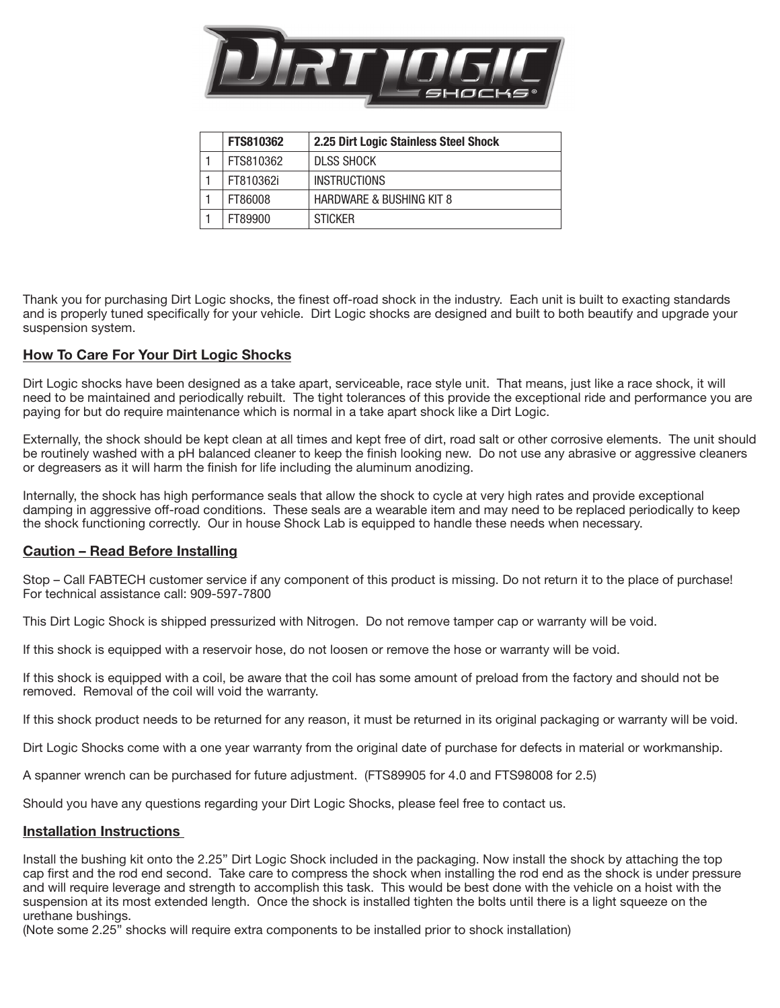

| <b>FTS810362</b> | 2.25 Dirt Logic Stainless Steel Shock |
|------------------|---------------------------------------|
| FTS810362        | <b>DLSS SHOCK</b>                     |
| FT810362i        | <b>INSTRUCTIONS</b>                   |
| FT86008          | HARDWARE & BUSHING KIT 8              |
| FT89900          | <b>STICKER</b>                        |

Thank you for purchasing Dirt Logic shocks, the finest off-road shock in the industry. Each unit is built to exacting standards and is properly tuned specifically for your vehicle. Dirt Logic shocks are designed and built to both beautify and upgrade your suspension system.

## How To Care For Your Dirt Logic Shocks

Dirt Logic shocks have been designed as a take apart, serviceable, race style unit. That means, just like a race shock, it will need to be maintained and periodically rebuilt. The tight tolerances of this provide the exceptional ride and performance you are paying for but do require maintenance which is normal in a take apart shock like a Dirt Logic.

Externally, the shock should be kept clean at all times and kept free of dirt, road salt or other corrosive elements. The unit should be routinely washed with a pH balanced cleaner to keep the finish looking new. Do not use any abrasive or aggressive cleaners or degreasers as it will harm the finish for life including the aluminum anodizing.

Internally, the shock has high performance seals that allow the shock to cycle at very high rates and provide exceptional damping in aggressive off-road conditions. These seals are a wearable item and may need to be replaced periodically to keep the shock functioning correctly. Our in house Shock Lab is equipped to handle these needs when necessary.

## Caution – Read Before Installing

Stop – Call FABTECH customer service if any component of this product is missing. Do not return it to the place of purchase! For technical assistance call: 909-597-7800

This Dirt Logic Shock is shipped pressurized with Nitrogen. Do not remove tamper cap or warranty will be void.

If this shock is equipped with a reservoir hose, do not loosen or remove the hose or warranty will be void.

If this shock is equipped with a coil, be aware that the coil has some amount of preload from the factory and should not be removed. Removal of the coil will void the warranty.

If this shock product needs to be returned for any reason, it must be returned in its original packaging or warranty will be void.

Dirt Logic Shocks come with a one year warranty from the original date of purchase for defects in material or workmanship.

A spanner wrench can be purchased for future adjustment. (FTS89905 for 4.0 and FTS98008 for 2.5)

Should you have any questions regarding your Dirt Logic Shocks, please feel free to contact us.

## Installation Instructions

Install the bushing kit onto the 2.25" Dirt Logic Shock included in the packaging. Now install the shock by attaching the top cap first and the rod end second. Take care to compress the shock when installing the rod end as the shock is under pressure and will require leverage and strength to accomplish this task. This would be best done with the vehicle on a hoist with the suspension at its most extended length. Once the shock is installed tighten the bolts until there is a light squeeze on the urethane bushings.

(Note some 2.25" shocks will require extra components to be installed prior to shock installation)